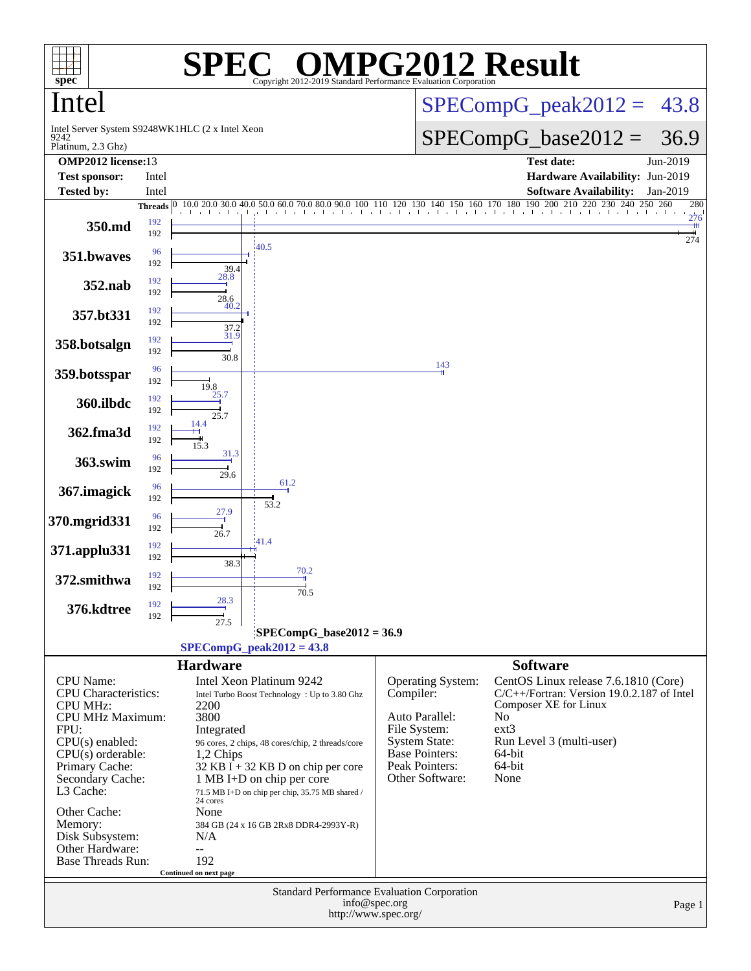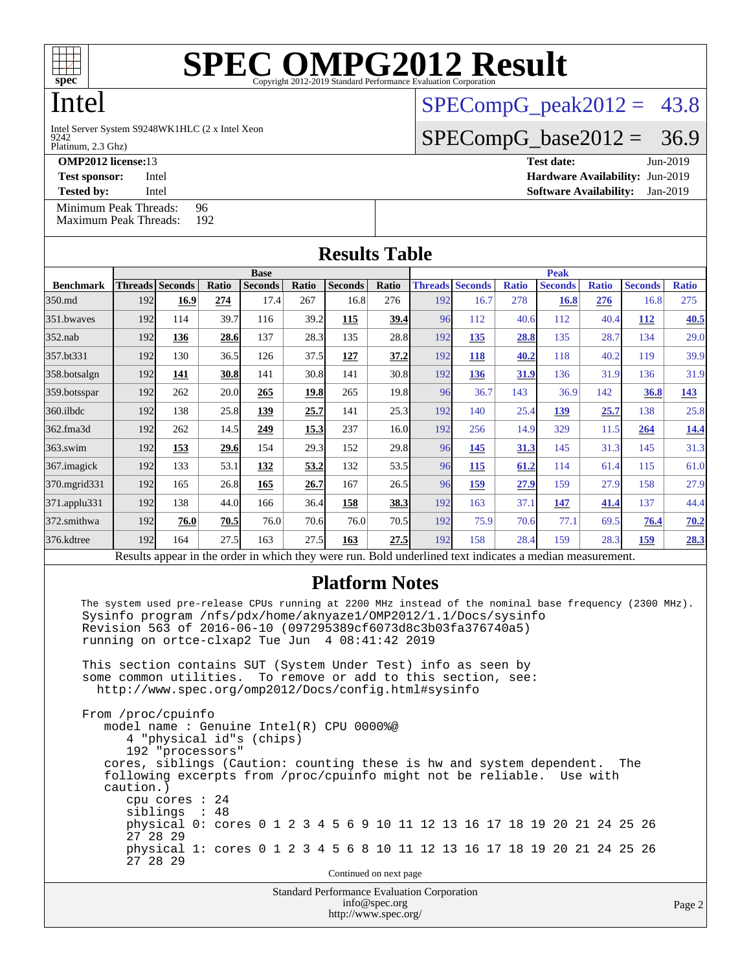

# Intel

9242 Intel Server System S9248WK1HLC (2 x Intel Xeon

## $SPECompG_peak2012 = 43.8$  $SPECompG_peak2012 = 43.8$

## $SPECompG_base2012 = 36.9$  $SPECompG_base2012 = 36.9$

Platinum, 2.3 Ghz)

**[OMP2012 license:](http://www.spec.org/auto/omp2012/Docs/result-fields.html#OMP2012license)**13 **[Test date:](http://www.spec.org/auto/omp2012/Docs/result-fields.html#Testdate)** Jun-2019

**[Test sponsor:](http://www.spec.org/auto/omp2012/Docs/result-fields.html#Testsponsor)** Intel **[Hardware Availability:](http://www.spec.org/auto/omp2012/Docs/result-fields.html#HardwareAvailability)** Jun-2019 **[Tested by:](http://www.spec.org/auto/omp2012/Docs/result-fields.html#Testedby)** Intel **[Software Availability:](http://www.spec.org/auto/omp2012/Docs/result-fields.html#SoftwareAvailability)** Jan-2019

[Minimum Peak Threads:](http://www.spec.org/auto/omp2012/Docs/result-fields.html#MinimumPeakThreads) 96<br>Maximum Peak Threads: 192 [Maximum Peak Threads:](http://www.spec.org/auto/omp2012/Docs/result-fields.html#MaximumPeakThreads)

**[Results Table](http://www.spec.org/auto/omp2012/Docs/result-fields.html#ResultsTable) [Benchmark](http://www.spec.org/auto/omp2012/Docs/result-fields.html#Benchmark) [Threads](http://www.spec.org/auto/omp2012/Docs/result-fields.html#Threads) [Seconds](http://www.spec.org/auto/omp2012/Docs/result-fields.html#Seconds) [Ratio](http://www.spec.org/auto/omp2012/Docs/result-fields.html#Ratio) [Seconds](http://www.spec.org/auto/omp2012/Docs/result-fields.html#Seconds) [Ratio](http://www.spec.org/auto/omp2012/Docs/result-fields.html#Ratio) [Seconds](http://www.spec.org/auto/omp2012/Docs/result-fields.html#Seconds) [Ratio](http://www.spec.org/auto/omp2012/Docs/result-fields.html#Ratio) Base [Threads](http://www.spec.org/auto/omp2012/Docs/result-fields.html#Threads) [Seconds](http://www.spec.org/auto/omp2012/Docs/result-fields.html#Seconds) [Ratio](http://www.spec.org/auto/omp2012/Docs/result-fields.html#Ratio) [Seconds](http://www.spec.org/auto/omp2012/Docs/result-fields.html#Seconds) [Ratio](http://www.spec.org/auto/omp2012/Docs/result-fields.html#Ratio) [Seconds](http://www.spec.org/auto/omp2012/Docs/result-fields.html#Seconds) [Ratio](http://www.spec.org/auto/omp2012/Docs/result-fields.html#Ratio) Peak** [350.md](http://www.spec.org/auto/omp2012/Docs/350.md.html) 192 **[16.9](http://www.spec.org/auto/omp2012/Docs/result-fields.html#Median) [274](http://www.spec.org/auto/omp2012/Docs/result-fields.html#Median)** 17.4 267 16.8 276 192 16.7 278 **[16.8](http://www.spec.org/auto/omp2012/Docs/result-fields.html#Median) [276](http://www.spec.org/auto/omp2012/Docs/result-fields.html#Median)** 16.8 275 [351.bwaves](http://www.spec.org/auto/omp2012/Docs/351.bwaves.html) 192 114 39.7 116 39.2 **[115](http://www.spec.org/auto/omp2012/Docs/result-fields.html#Median) [39.4](http://www.spec.org/auto/omp2012/Docs/result-fields.html#Median)** 96 112 40.6 112 40.4 **[112](http://www.spec.org/auto/omp2012/Docs/result-fields.html#Median) [40.5](http://www.spec.org/auto/omp2012/Docs/result-fields.html#Median)** [352.nab](http://www.spec.org/auto/omp2012/Docs/352.nab.html) 192 **[136](http://www.spec.org/auto/omp2012/Docs/result-fields.html#Median) [28.6](http://www.spec.org/auto/omp2012/Docs/result-fields.html#Median)** 137 28.3 135 28.8 192 **[135](http://www.spec.org/auto/omp2012/Docs/result-fields.html#Median) [28.8](http://www.spec.org/auto/omp2012/Docs/result-fields.html#Median)** 135 28.7 134 29.0 [357.bt331](http://www.spec.org/auto/omp2012/Docs/357.bt331.html) 192 130 36.5 126 37.5 **[127](http://www.spec.org/auto/omp2012/Docs/result-fields.html#Median) [37.2](http://www.spec.org/auto/omp2012/Docs/result-fields.html#Median)** 192 **[118](http://www.spec.org/auto/omp2012/Docs/result-fields.html#Median) [40.2](http://www.spec.org/auto/omp2012/Docs/result-fields.html#Median)** 118 40.2 119 39.9 [358.botsalgn](http://www.spec.org/auto/omp2012/Docs/358.botsalgn.html) 192 **[141](http://www.spec.org/auto/omp2012/Docs/result-fields.html#Median) [30.8](http://www.spec.org/auto/omp2012/Docs/result-fields.html#Median)** 141 30.8 141 30.8 192 **[136](http://www.spec.org/auto/omp2012/Docs/result-fields.html#Median) [31.9](http://www.spec.org/auto/omp2012/Docs/result-fields.html#Median)** 136 31.9 136 31.9 [359.botsspar](http://www.spec.org/auto/omp2012/Docs/359.botsspar.html) 192 262 20.0 **[265](http://www.spec.org/auto/omp2012/Docs/result-fields.html#Median) [19.8](http://www.spec.org/auto/omp2012/Docs/result-fields.html#Median)** 265 19.8 96 36.7 143 36.9 142 **[36.8](http://www.spec.org/auto/omp2012/Docs/result-fields.html#Median) [143](http://www.spec.org/auto/omp2012/Docs/result-fields.html#Median)** [360.ilbdc](http://www.spec.org/auto/omp2012/Docs/360.ilbdc.html) 192 138 25.8 **[139](http://www.spec.org/auto/omp2012/Docs/result-fields.html#Median) [25.7](http://www.spec.org/auto/omp2012/Docs/result-fields.html#Median)** 141 25.3 192 140 25.4 **[139](http://www.spec.org/auto/omp2012/Docs/result-fields.html#Median) [25.7](http://www.spec.org/auto/omp2012/Docs/result-fields.html#Median)** 138 25.8 [362.fma3d](http://www.spec.org/auto/omp2012/Docs/362.fma3d.html) 192 262 14.5 **[249](http://www.spec.org/auto/omp2012/Docs/result-fields.html#Median) [15.3](http://www.spec.org/auto/omp2012/Docs/result-fields.html#Median)** 237 16.0 192 256 14.9 329 11.5 **[264](http://www.spec.org/auto/omp2012/Docs/result-fields.html#Median) [14.4](http://www.spec.org/auto/omp2012/Docs/result-fields.html#Median)** [363.swim](http://www.spec.org/auto/omp2012/Docs/363.swim.html) 192 **[153](http://www.spec.org/auto/omp2012/Docs/result-fields.html#Median) [29.6](http://www.spec.org/auto/omp2012/Docs/result-fields.html#Median)** 154 29.3 152 29.8 96 **[145](http://www.spec.org/auto/omp2012/Docs/result-fields.html#Median) [31.3](http://www.spec.org/auto/omp2012/Docs/result-fields.html#Median)** 145 31.3 145 31.3 [367.imagick](http://www.spec.org/auto/omp2012/Docs/367.imagick.html) 192 133 53.1 **[132](http://www.spec.org/auto/omp2012/Docs/result-fields.html#Median) [53.2](http://www.spec.org/auto/omp2012/Docs/result-fields.html#Median)** 132 53.5 96 **[115](http://www.spec.org/auto/omp2012/Docs/result-fields.html#Median) [61.2](http://www.spec.org/auto/omp2012/Docs/result-fields.html#Median)** 114 61.4 115 61.0 [370.mgrid331](http://www.spec.org/auto/omp2012/Docs/370.mgrid331.html) 192 165 26.8 **[165](http://www.spec.org/auto/omp2012/Docs/result-fields.html#Median) [26.7](http://www.spec.org/auto/omp2012/Docs/result-fields.html#Median)** 167 26.5 96 **[159](http://www.spec.org/auto/omp2012/Docs/result-fields.html#Median) [27.9](http://www.spec.org/auto/omp2012/Docs/result-fields.html#Median)** 159 27.9 158 27.9 [371.applu331](http://www.spec.org/auto/omp2012/Docs/371.applu331.html) 192 138 44.0 166 36.4 **[158](http://www.spec.org/auto/omp2012/Docs/result-fields.html#Median) [38.3](http://www.spec.org/auto/omp2012/Docs/result-fields.html#Median)** 192 163 37.1 **[147](http://www.spec.org/auto/omp2012/Docs/result-fields.html#Median) [41.4](http://www.spec.org/auto/omp2012/Docs/result-fields.html#Median)** 137 44.4 [372.smithwa](http://www.spec.org/auto/omp2012/Docs/372.smithwa.html) 192 **[76.0](http://www.spec.org/auto/omp2012/Docs/result-fields.html#Median) [70.5](http://www.spec.org/auto/omp2012/Docs/result-fields.html#Median)** 76.0 70.6 76.0 70.5 192 75.9 70.6 77.1 69.5 **[76.4](http://www.spec.org/auto/omp2012/Docs/result-fields.html#Median) [70.2](http://www.spec.org/auto/omp2012/Docs/result-fields.html#Median)** [376.kdtree](http://www.spec.org/auto/omp2012/Docs/376.kdtree.html) 192 164 27.5 163 27.5 **[163](http://www.spec.org/auto/omp2012/Docs/result-fields.html#Median) [27.5](http://www.spec.org/auto/omp2012/Docs/result-fields.html#Median)** 192 158 28.4 159 28.3 **[159](http://www.spec.org/auto/omp2012/Docs/result-fields.html#Median) [28.3](http://www.spec.org/auto/omp2012/Docs/result-fields.html#Median)** Results appear in the [order in which they were run.](http://www.spec.org/auto/omp2012/Docs/result-fields.html#RunOrder) Bold underlined text [indicates a median measurement.](http://www.spec.org/auto/omp2012/Docs/result-fields.html#Median)

### **[Platform Notes](http://www.spec.org/auto/omp2012/Docs/result-fields.html#PlatformNotes)**

 The system used pre-release CPUs running at 2200 MHz instead of the nominal base frequency (2300 MHz). Sysinfo program /nfs/pdx/home/aknyaze1/OMP2012/1.1/Docs/sysinfo Revision 563 of 2016-06-10 (097295389cf6073d8c3b03fa376740a5) running on ortce-clxap2 Tue Jun 4 08:41:42 2019

 This section contains SUT (System Under Test) info as seen by some common utilities. To remove or add to this section, see: <http://www.spec.org/omp2012/Docs/config.html#sysinfo>

Standard Performance Evaluation Corporation From /proc/cpuinfo model name : Genuine Intel(R) CPU 0000%@ 4 "physical id"s (chips) 192 "processors" cores, siblings (Caution: counting these is hw and system dependent. The following excerpts from /proc/cpuinfo might not be reliable. Use with caution.) cpu cores : 24 siblings : 48 physical 0: cores 0 1 2 3 4 5 6 9 10 11 12 13 16 17 18 19 20 21 24 25 26 27 28 29 physical 1: cores 0 1 2 3 4 5 6 8 10 11 12 13 16 17 18 19 20 21 24 25 26 27 28 29 Continued on next page

[info@spec.org](mailto:info@spec.org) <http://www.spec.org/>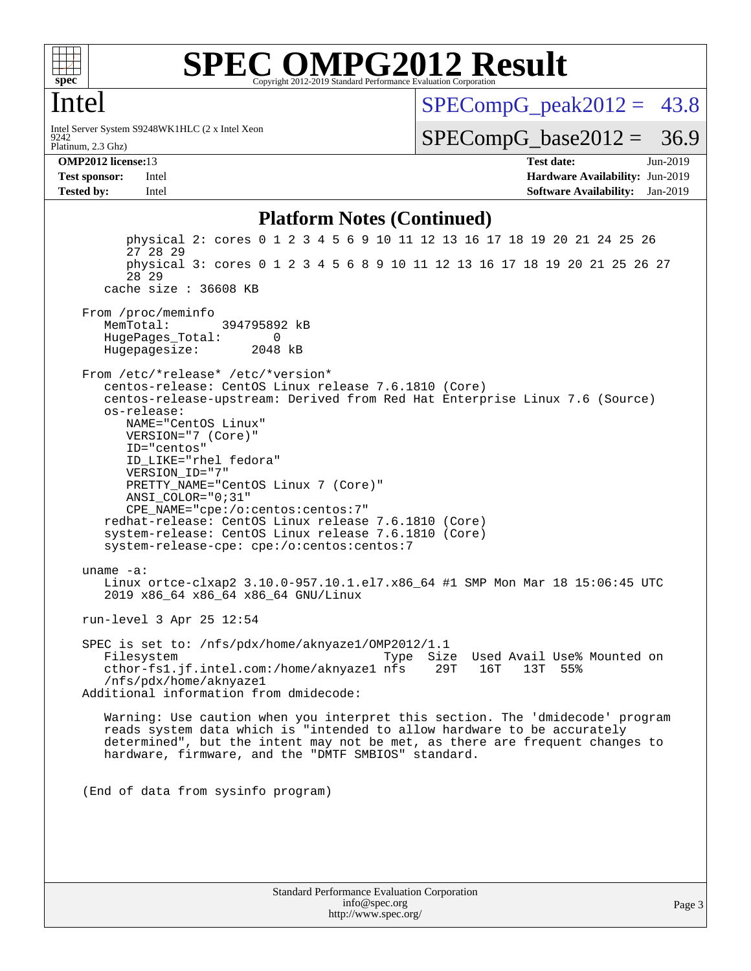

## Intel

Platinum, 2.3 Ghz) 9242 Intel Server System S9248WK1HLC (2 x Intel Xeon  $SPECompG_peak2012 = 43.8$  $SPECompG_peak2012 = 43.8$ 

 $SPECompG_base2012 = 36.9$  $SPECompG_base2012 = 36.9$ 

**[OMP2012 license:](http://www.spec.org/auto/omp2012/Docs/result-fields.html#OMP2012license)**13 **[Test date:](http://www.spec.org/auto/omp2012/Docs/result-fields.html#Testdate)** Jun-2019 **[Test sponsor:](http://www.spec.org/auto/omp2012/Docs/result-fields.html#Testsponsor)** Intel **[Hardware Availability:](http://www.spec.org/auto/omp2012/Docs/result-fields.html#HardwareAvailability)** Jun-2019 **[Tested by:](http://www.spec.org/auto/omp2012/Docs/result-fields.html#Testedby)** Intel **[Software Availability:](http://www.spec.org/auto/omp2012/Docs/result-fields.html#SoftwareAvailability)** Jan-2019

### **[Platform Notes \(Continued\)](http://www.spec.org/auto/omp2012/Docs/result-fields.html#PlatformNotes)**

Standard Performance Evaluation Corporation [info@spec.org](mailto:info@spec.org) physical 2: cores 0 1 2 3 4 5 6 9 10 11 12 13 16 17 18 19 20 21 24 25 26 27 28 29 physical 3: cores 0 1 2 3 4 5 6 8 9 10 11 12 13 16 17 18 19 20 21 25 26 27 28 29 cache size : 36608 KB From /proc/meminfo MemTotal: 394795892 kB HugePages\_Total: 0<br>Hugepagesize: 2048 kB Hugepagesize: From /etc/\*release\* /etc/\*version\* centos-release: CentOS Linux release 7.6.1810 (Core) centos-release-upstream: Derived from Red Hat Enterprise Linux 7.6 (Source) os-release: NAME="CentOS Linux" VERSION="7 (Core)" ID="centos" ID\_LIKE="rhel fedora" VERSION\_ID="7" PRETTY\_NAME="CentOS Linux 7 (Core)" ANSI\_COLOR="0;31" CPE\_NAME="cpe:/o:centos:centos:7" redhat-release: CentOS Linux release 7.6.1810 (Core) system-release: CentOS Linux release 7.6.1810 (Core) system-release-cpe: cpe:/o:centos:centos:7 uname -a: Linux ortce-clxap2 3.10.0-957.10.1.el7.x86\_64 #1 SMP Mon Mar 18 15:06:45 UTC 2019 x86\_64 x86\_64 x86\_64 GNU/Linux run-level 3 Apr 25 12:54 SPEC is set to: /nfs/pdx/home/aknyaze1/OMP2012/1.1 Filesystem Type Size Used Avail Use% Mounted on cthor-fs1.jf.intel.com:/home/aknyaze1 nfs 29T 16T 13T 55% /nfs/pdx/home/aknyaze1 Additional information from dmidecode: Warning: Use caution when you interpret this section. The 'dmidecode' program reads system data which is "intended to allow hardware to be accurately determined", but the intent may not be met, as there are frequent changes to hardware, firmware, and the "DMTF SMBIOS" standard. (End of data from sysinfo program)

<http://www.spec.org/>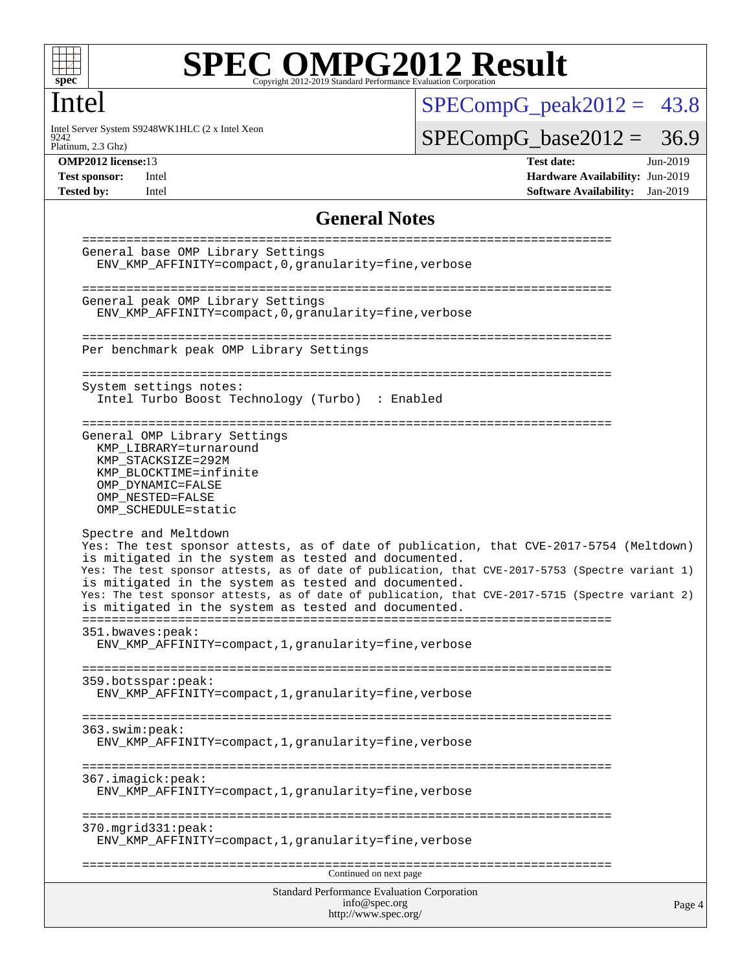

## Intel

9242 Intel Server System S9248WK1HLC (2 x Intel Xeon  $SPECompG_peak2012 = 43.8$  $SPECompG_peak2012 = 43.8$ 

 $SPECompG_base2012 = 36.9$  $SPECompG_base2012 = 36.9$ 

Platinum, 2.3 Ghz)

**[OMP2012 license:](http://www.spec.org/auto/omp2012/Docs/result-fields.html#OMP2012license)**13 **[Test date:](http://www.spec.org/auto/omp2012/Docs/result-fields.html#Testdate)** Jun-2019 **[Test sponsor:](http://www.spec.org/auto/omp2012/Docs/result-fields.html#Testsponsor)** Intel **[Hardware Availability:](http://www.spec.org/auto/omp2012/Docs/result-fields.html#HardwareAvailability)** Jun-2019 **[Tested by:](http://www.spec.org/auto/omp2012/Docs/result-fields.html#Testedby)** Intel **[Software Availability:](http://www.spec.org/auto/omp2012/Docs/result-fields.html#SoftwareAvailability)** Jan-2019

### **[General Notes](http://www.spec.org/auto/omp2012/Docs/result-fields.html#GeneralNotes)**

```
Standard Performance Evaluation Corporation
                                    info@spec.org
                                   http://www.spec.org/
                                                                                     Page 4
========================================================================
General base OMP Library Settings
  ENV_KMP_AFFINITY=compact,0,granularity=fine,verbose
========================================================================
General peak OMP Library Settings
  ENV_KMP_AFFINITY=compact,0,granularity=fine,verbose
========================================================================
Per benchmark peak OMP Library Settings
========================================================================
System settings notes:
  Intel Turbo Boost Technology (Turbo) : Enabled
========================================================================
General OMP Library Settings
  KMP_LIBRARY=turnaround
  KMP_STACKSIZE=292M
  KMP_BLOCKTIME=infinite
  OMP_DYNAMIC=FALSE
  OMP_NESTED=FALSE
  OMP_SCHEDULE=static
Spectre and Meltdown
Yes: The test sponsor attests, as of date of publication, that CVE-2017-5754 (Meltdown)
is mitigated in the system as tested and documented.
Yes: The test sponsor attests, as of date of publication, that CVE-2017-5753 (Spectre variant 1)
is mitigated in the system as tested and documented.
Yes: The test sponsor attests, as of date of publication, that CVE-2017-5715 (Spectre variant 2)
is mitigated in the system as tested and documented.
========================================================================
351.bwaves:peak:
  ENV_KMP_AFFINITY=compact,1,granularity=fine,verbose
========================================================================
359.botsspar:peak:
  ENV_KMP_AFFINITY=compact,1,granularity=fine,verbose
========================================================================
363.swim:peak:
  ENV_KMP_AFFINITY=compact,1,granularity=fine,verbose
========================================================================
367.imagick:peak:
  ENV_KMP_AFFINITY=compact,1,granularity=fine,verbose
========================================================================
370.mgrid331:peak:
  ENV_KMP_AFFINITY=compact,1,granularity=fine,verbose
========================================================================
                                   Continued on next page
```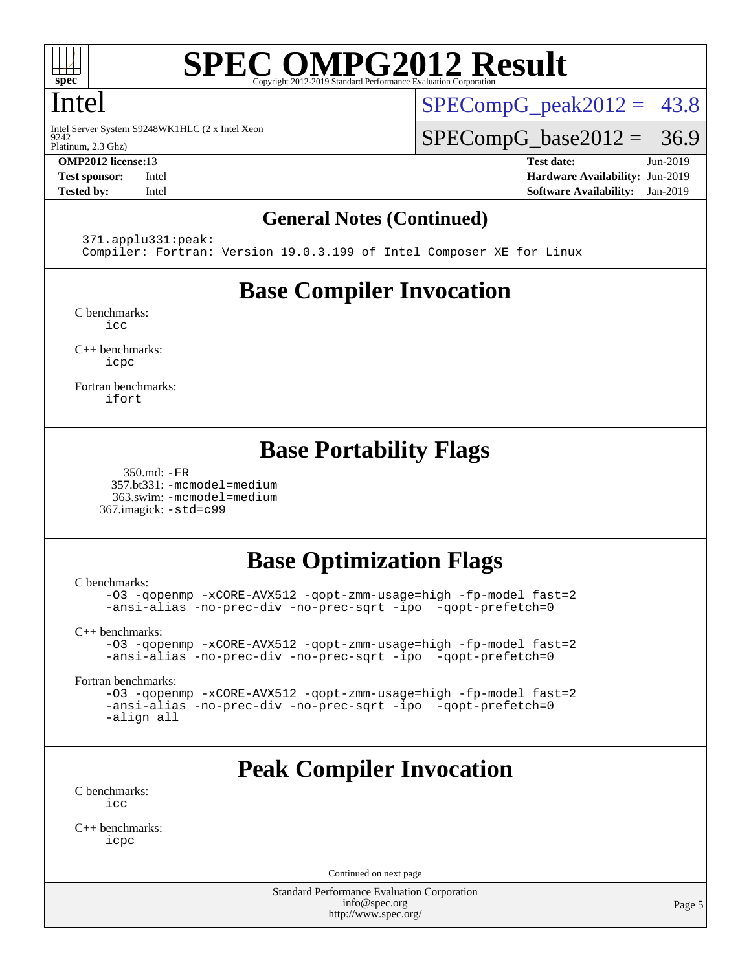

## Intel

 $9242$ Intel Server System S9248WK1HLC (2 x Intel Xeon

Platinum, 2.3 Ghz)

 $SPECompG_peak2012 = 43.8$  $SPECompG_peak2012 = 43.8$ 

 $SPECompG_base2012 = 36.9$  $SPECompG_base2012 = 36.9$ 

**[OMP2012 license:](http://www.spec.org/auto/omp2012/Docs/result-fields.html#OMP2012license)**13 **[Test date:](http://www.spec.org/auto/omp2012/Docs/result-fields.html#Testdate)** Jun-2019 **[Test sponsor:](http://www.spec.org/auto/omp2012/Docs/result-fields.html#Testsponsor)** Intel **[Hardware Availability:](http://www.spec.org/auto/omp2012/Docs/result-fields.html#HardwareAvailability)** Jun-2019 **[Tested by:](http://www.spec.org/auto/omp2012/Docs/result-fields.html#Testedby)** Intel **[Software Availability:](http://www.spec.org/auto/omp2012/Docs/result-fields.html#SoftwareAvailability)** Jan-2019

### **[General Notes \(Continued\)](http://www.spec.org/auto/omp2012/Docs/result-fields.html#GeneralNotes)**

371.applu331:peak:

Compiler: Fortran: Version 19.0.3.199 of Intel Composer XE for Linux

# **[Base Compiler Invocation](http://www.spec.org/auto/omp2012/Docs/result-fields.html#BaseCompilerInvocation)**

[C benchmarks](http://www.spec.org/auto/omp2012/Docs/result-fields.html#Cbenchmarks): [icc](http://www.spec.org/omp2012/results/res2019q3/omp2012-20190604-00179.flags.html#user_CCbase_intel_icc_a87c68a857bc5ec5362391a49d3a37a6)

[C++ benchmarks:](http://www.spec.org/auto/omp2012/Docs/result-fields.html#CXXbenchmarks) [icpc](http://www.spec.org/omp2012/results/res2019q3/omp2012-20190604-00179.flags.html#user_CXXbase_intel_icpc_2d899f8d163502b12eb4a60069f80c1c)

[Fortran benchmarks](http://www.spec.org/auto/omp2012/Docs/result-fields.html#Fortranbenchmarks): [ifort](http://www.spec.org/omp2012/results/res2019q3/omp2012-20190604-00179.flags.html#user_FCbase_intel_ifort_8a5e5e06b19a251bdeaf8fdab5d62f20)

# **[Base Portability Flags](http://www.spec.org/auto/omp2012/Docs/result-fields.html#BasePortabilityFlags)**

 350.md: [-FR](http://www.spec.org/omp2012/results/res2019q3/omp2012-20190604-00179.flags.html#user_baseFPORTABILITY350_md_f-FR) 357.bt331: [-mcmodel=medium](http://www.spec.org/omp2012/results/res2019q3/omp2012-20190604-00179.flags.html#user_basePORTABILITY357_bt331_f-mcmodel_3a41622424bdd074c4f0f2d2f224c7e5) 363.swim: [-mcmodel=medium](http://www.spec.org/omp2012/results/res2019q3/omp2012-20190604-00179.flags.html#user_basePORTABILITY363_swim_f-mcmodel_3a41622424bdd074c4f0f2d2f224c7e5) 367.imagick: [-std=c99](http://www.spec.org/omp2012/results/res2019q3/omp2012-20190604-00179.flags.html#user_baseCPORTABILITY367_imagick_f-std_2ec6533b6e06f1c4a6c9b78d9e9cde24)

# **[Base Optimization Flags](http://www.spec.org/auto/omp2012/Docs/result-fields.html#BaseOptimizationFlags)**

[C benchmarks](http://www.spec.org/auto/omp2012/Docs/result-fields.html#Cbenchmarks):

[-O3](http://www.spec.org/omp2012/results/res2019q3/omp2012-20190604-00179.flags.html#user_CCbase_f-O3) [-qopenmp](http://www.spec.org/omp2012/results/res2019q3/omp2012-20190604-00179.flags.html#user_CCbase_f-qopenmp) [-xCORE-AVX512](http://www.spec.org/omp2012/results/res2019q3/omp2012-20190604-00179.flags.html#user_CCbase_f-xCORE-AVX512) [-qopt-zmm-usage=high](http://www.spec.org/omp2012/results/res2019q3/omp2012-20190604-00179.flags.html#user_CCbase_f-qopt-zmm-usage_213d857421e75f2db2f896f7900465fb) [-fp-model fast=2](http://www.spec.org/omp2012/results/res2019q3/omp2012-20190604-00179.flags.html#user_CCbase_f-fp-model_a7fb8ccb7275e23f0079632c153cfcab) [-ansi-alias](http://www.spec.org/omp2012/results/res2019q3/omp2012-20190604-00179.flags.html#user_CCbase_f-ansi-alias) [-no-prec-div](http://www.spec.org/omp2012/results/res2019q3/omp2012-20190604-00179.flags.html#user_CCbase_f-no-prec-div) [-no-prec-sqrt](http://www.spec.org/omp2012/results/res2019q3/omp2012-20190604-00179.flags.html#user_CCbase_f-no-prec-sqrt) [-ipo](http://www.spec.org/omp2012/results/res2019q3/omp2012-20190604-00179.flags.html#user_CCbase_f-ipo_84062ab53814f613187d02344b8f49a7) [-qopt-prefetch=0](http://www.spec.org/omp2012/results/res2019q3/omp2012-20190604-00179.flags.html#user_CCbase_f-qopt-prefetch_ce172c705aa924d14c76f32fff3f4886)

[C++ benchmarks:](http://www.spec.org/auto/omp2012/Docs/result-fields.html#CXXbenchmarks)

[-O3](http://www.spec.org/omp2012/results/res2019q3/omp2012-20190604-00179.flags.html#user_CXXbase_f-O3) [-qopenmp](http://www.spec.org/omp2012/results/res2019q3/omp2012-20190604-00179.flags.html#user_CXXbase_f-qopenmp) [-xCORE-AVX512](http://www.spec.org/omp2012/results/res2019q3/omp2012-20190604-00179.flags.html#user_CXXbase_f-xCORE-AVX512) [-qopt-zmm-usage=high](http://www.spec.org/omp2012/results/res2019q3/omp2012-20190604-00179.flags.html#user_CXXbase_f-qopt-zmm-usage_213d857421e75f2db2f896f7900465fb) [-fp-model fast=2](http://www.spec.org/omp2012/results/res2019q3/omp2012-20190604-00179.flags.html#user_CXXbase_f-fp-model_a7fb8ccb7275e23f0079632c153cfcab) [-ansi-alias](http://www.spec.org/omp2012/results/res2019q3/omp2012-20190604-00179.flags.html#user_CXXbase_f-ansi-alias) [-no-prec-div](http://www.spec.org/omp2012/results/res2019q3/omp2012-20190604-00179.flags.html#user_CXXbase_f-no-prec-div) [-no-prec-sqrt](http://www.spec.org/omp2012/results/res2019q3/omp2012-20190604-00179.flags.html#user_CXXbase_f-no-prec-sqrt) [-ipo](http://www.spec.org/omp2012/results/res2019q3/omp2012-20190604-00179.flags.html#user_CXXbase_f-ipo_84062ab53814f613187d02344b8f49a7) [-qopt-prefetch=0](http://www.spec.org/omp2012/results/res2019q3/omp2012-20190604-00179.flags.html#user_CXXbase_f-qopt-prefetch_ce172c705aa924d14c76f32fff3f4886)

[Fortran benchmarks](http://www.spec.org/auto/omp2012/Docs/result-fields.html#Fortranbenchmarks):

[-O3](http://www.spec.org/omp2012/results/res2019q3/omp2012-20190604-00179.flags.html#user_FCbase_f-O3) [-qopenmp](http://www.spec.org/omp2012/results/res2019q3/omp2012-20190604-00179.flags.html#user_FCbase_f-qopenmp) [-xCORE-AVX512](http://www.spec.org/omp2012/results/res2019q3/omp2012-20190604-00179.flags.html#user_FCbase_f-xCORE-AVX512) [-qopt-zmm-usage=high](http://www.spec.org/omp2012/results/res2019q3/omp2012-20190604-00179.flags.html#user_FCbase_f-qopt-zmm-usage_213d857421e75f2db2f896f7900465fb) [-fp-model fast=2](http://www.spec.org/omp2012/results/res2019q3/omp2012-20190604-00179.flags.html#user_FCbase_f-fp-model_a7fb8ccb7275e23f0079632c153cfcab) [-ansi-alias](http://www.spec.org/omp2012/results/res2019q3/omp2012-20190604-00179.flags.html#user_FCbase_f-ansi-alias) [-no-prec-div](http://www.spec.org/omp2012/results/res2019q3/omp2012-20190604-00179.flags.html#user_FCbase_f-no-prec-div) [-no-prec-sqrt](http://www.spec.org/omp2012/results/res2019q3/omp2012-20190604-00179.flags.html#user_FCbase_f-no-prec-sqrt) [-ipo](http://www.spec.org/omp2012/results/res2019q3/omp2012-20190604-00179.flags.html#user_FCbase_f-ipo_84062ab53814f613187d02344b8f49a7) [-qopt-prefetch=0](http://www.spec.org/omp2012/results/res2019q3/omp2012-20190604-00179.flags.html#user_FCbase_f-qopt-prefetch_ce172c705aa924d14c76f32fff3f4886) [-align all](http://www.spec.org/omp2012/results/res2019q3/omp2012-20190604-00179.flags.html#user_FCbase_f-align_1ebfa66158b49aff21b037afc4046011)

# **[Peak Compiler Invocation](http://www.spec.org/auto/omp2012/Docs/result-fields.html#PeakCompilerInvocation)**

[C benchmarks](http://www.spec.org/auto/omp2012/Docs/result-fields.html#Cbenchmarks):  $i$ cc

[C++ benchmarks:](http://www.spec.org/auto/omp2012/Docs/result-fields.html#CXXbenchmarks) [icpc](http://www.spec.org/omp2012/results/res2019q3/omp2012-20190604-00179.flags.html#user_CXXpeak_intel_icpc_2d899f8d163502b12eb4a60069f80c1c)

Continued on next page

Standard Performance Evaluation Corporation [info@spec.org](mailto:info@spec.org) <http://www.spec.org/>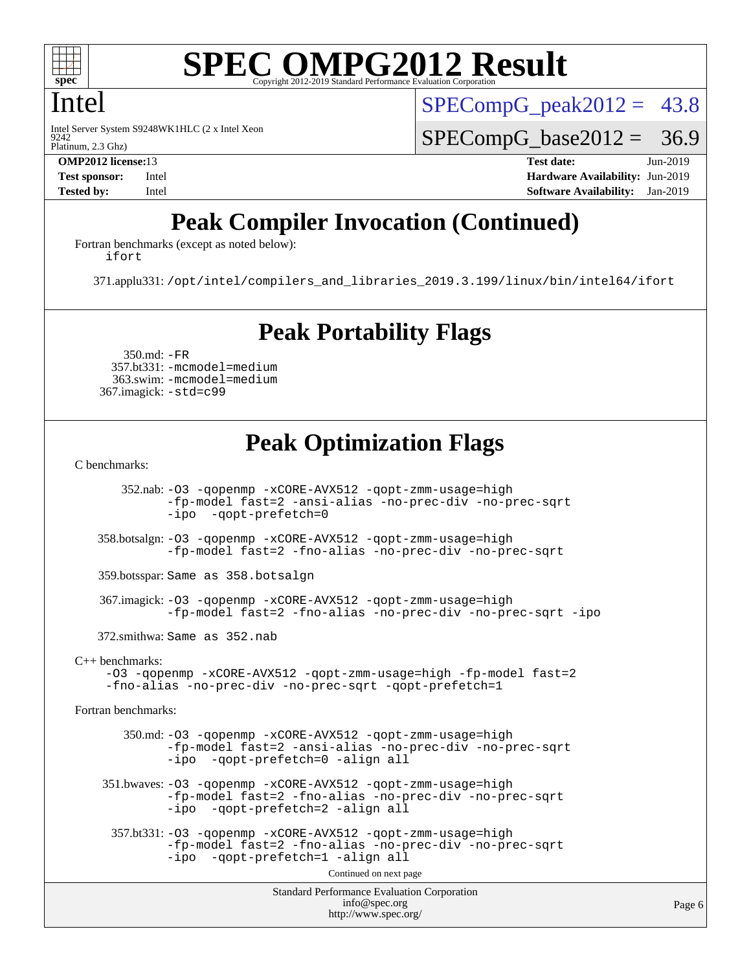

## Intel

9242 Intel Server System S9248WK1HLC (2 x Intel Xeon  $SPECompG<sub>peak2012</sub> = 43.8$ 

 $SPECompG_base2012 = 36.9$  $SPECompG_base2012 = 36.9$ 

Platinum, 2.3 Ghz)

**[OMP2012 license:](http://www.spec.org/auto/omp2012/Docs/result-fields.html#OMP2012license)**13 **[Test date:](http://www.spec.org/auto/omp2012/Docs/result-fields.html#Testdate)** Jun-2019 **[Test sponsor:](http://www.spec.org/auto/omp2012/Docs/result-fields.html#Testsponsor)** Intel **[Hardware Availability:](http://www.spec.org/auto/omp2012/Docs/result-fields.html#HardwareAvailability)** Jun-2019 **[Tested by:](http://www.spec.org/auto/omp2012/Docs/result-fields.html#Testedby)** Intel **[Software Availability:](http://www.spec.org/auto/omp2012/Docs/result-fields.html#SoftwareAvailability)** Jan-2019

# **[Peak Compiler Invocation \(Continued\)](http://www.spec.org/auto/omp2012/Docs/result-fields.html#PeakCompilerInvocation)**

[Fortran benchmarks \(except as noted below\)](http://www.spec.org/auto/omp2012/Docs/result-fields.html#Fortranbenchmarksexceptasnotedbelow): [ifort](http://www.spec.org/omp2012/results/res2019q3/omp2012-20190604-00179.flags.html#user_FCpeak_intel_ifort_8a5e5e06b19a251bdeaf8fdab5d62f20)

371.applu331: [/opt/intel/compilers\\_and\\_libraries\\_2019.3.199/linux/bin/intel64/ifort](http://www.spec.org/omp2012/results/res2019q3/omp2012-20190604-00179.flags.html#user_peakFCLD371_applu331_intel_ifort_d0a20e4cb9a75ea9037e0d01ed7f0e6d)

# **[Peak Portability Flags](http://www.spec.org/auto/omp2012/Docs/result-fields.html#PeakPortabilityFlags)**

 350.md: [-FR](http://www.spec.org/omp2012/results/res2019q3/omp2012-20190604-00179.flags.html#user_peakFPORTABILITY350_md_f-FR) 357.bt331: [-mcmodel=medium](http://www.spec.org/omp2012/results/res2019q3/omp2012-20190604-00179.flags.html#user_peakPORTABILITY357_bt331_f-mcmodel_3a41622424bdd074c4f0f2d2f224c7e5) 363.swim: [-mcmodel=medium](http://www.spec.org/omp2012/results/res2019q3/omp2012-20190604-00179.flags.html#user_peakPORTABILITY363_swim_f-mcmodel_3a41622424bdd074c4f0f2d2f224c7e5) 367.imagick: [-std=c99](http://www.spec.org/omp2012/results/res2019q3/omp2012-20190604-00179.flags.html#user_peakCPORTABILITY367_imagick_f-std_2ec6533b6e06f1c4a6c9b78d9e9cde24)

# **[Peak Optimization Flags](http://www.spec.org/auto/omp2012/Docs/result-fields.html#PeakOptimizationFlags)**

[C benchmarks](http://www.spec.org/auto/omp2012/Docs/result-fields.html#Cbenchmarks):

 352.nab: [-O3](http://www.spec.org/omp2012/results/res2019q3/omp2012-20190604-00179.flags.html#user_peakOPTIMIZE352_nab_f-O3) [-qopenmp](http://www.spec.org/omp2012/results/res2019q3/omp2012-20190604-00179.flags.html#user_peakOPTIMIZE352_nab_f-qopenmp) [-xCORE-AVX512](http://www.spec.org/omp2012/results/res2019q3/omp2012-20190604-00179.flags.html#user_peakOPTIMIZE352_nab_f-xCORE-AVX512) [-qopt-zmm-usage=high](http://www.spec.org/omp2012/results/res2019q3/omp2012-20190604-00179.flags.html#user_peakOPTIMIZE352_nab_f-qopt-zmm-usage_213d857421e75f2db2f896f7900465fb) [-fp-model fast=2](http://www.spec.org/omp2012/results/res2019q3/omp2012-20190604-00179.flags.html#user_peakOPTIMIZE352_nab_f-fp-model_a7fb8ccb7275e23f0079632c153cfcab) [-ansi-alias](http://www.spec.org/omp2012/results/res2019q3/omp2012-20190604-00179.flags.html#user_peakOPTIMIZE352_nab_f-ansi-alias) [-no-prec-div](http://www.spec.org/omp2012/results/res2019q3/omp2012-20190604-00179.flags.html#user_peakOPTIMIZE352_nab_f-no-prec-div) [-no-prec-sqrt](http://www.spec.org/omp2012/results/res2019q3/omp2012-20190604-00179.flags.html#user_peakOPTIMIZE352_nab_f-no-prec-sqrt) [-ipo](http://www.spec.org/omp2012/results/res2019q3/omp2012-20190604-00179.flags.html#user_peakOPTIMIZE352_nab_f-ipo_84062ab53814f613187d02344b8f49a7) [-qopt-prefetch=0](http://www.spec.org/omp2012/results/res2019q3/omp2012-20190604-00179.flags.html#user_peakOPTIMIZE352_nab_f-qopt-prefetch_ce172c705aa924d14c76f32fff3f4886) 358.botsalgn: [-O3](http://www.spec.org/omp2012/results/res2019q3/omp2012-20190604-00179.flags.html#user_peakOPTIMIZE358_botsalgn_f-O3) [-qopenmp](http://www.spec.org/omp2012/results/res2019q3/omp2012-20190604-00179.flags.html#user_peakOPTIMIZE358_botsalgn_f-qopenmp) [-xCORE-AVX512](http://www.spec.org/omp2012/results/res2019q3/omp2012-20190604-00179.flags.html#user_peakOPTIMIZE358_botsalgn_f-xCORE-AVX512) [-qopt-zmm-usage=high](http://www.spec.org/omp2012/results/res2019q3/omp2012-20190604-00179.flags.html#user_peakOPTIMIZE358_botsalgn_f-qopt-zmm-usage_213d857421e75f2db2f896f7900465fb) [-fp-model fast=2](http://www.spec.org/omp2012/results/res2019q3/omp2012-20190604-00179.flags.html#user_peakOPTIMIZE358_botsalgn_f-fp-model_a7fb8ccb7275e23f0079632c153cfcab) [-fno-alias](http://www.spec.org/omp2012/results/res2019q3/omp2012-20190604-00179.flags.html#user_peakOPTIMIZE358_botsalgn_f-no-alias_694e77f6c5a51e658e82ccff53a9e63a) [-no-prec-div](http://www.spec.org/omp2012/results/res2019q3/omp2012-20190604-00179.flags.html#user_peakOPTIMIZE358_botsalgn_f-no-prec-div) [-no-prec-sqrt](http://www.spec.org/omp2012/results/res2019q3/omp2012-20190604-00179.flags.html#user_peakOPTIMIZE358_botsalgn_f-no-prec-sqrt) 359.botsspar: Same as 358.botsalgn 367.imagick: [-O3](http://www.spec.org/omp2012/results/res2019q3/omp2012-20190604-00179.flags.html#user_peakOPTIMIZE367_imagick_f-O3) [-qopenmp](http://www.spec.org/omp2012/results/res2019q3/omp2012-20190604-00179.flags.html#user_peakOPTIMIZE367_imagick_f-qopenmp) [-xCORE-AVX512](http://www.spec.org/omp2012/results/res2019q3/omp2012-20190604-00179.flags.html#user_peakOPTIMIZE367_imagick_f-xCORE-AVX512) [-qopt-zmm-usage=high](http://www.spec.org/omp2012/results/res2019q3/omp2012-20190604-00179.flags.html#user_peakOPTIMIZE367_imagick_f-qopt-zmm-usage_213d857421e75f2db2f896f7900465fb) [-fp-model fast=2](http://www.spec.org/omp2012/results/res2019q3/omp2012-20190604-00179.flags.html#user_peakOPTIMIZE367_imagick_f-fp-model_a7fb8ccb7275e23f0079632c153cfcab) [-fno-alias](http://www.spec.org/omp2012/results/res2019q3/omp2012-20190604-00179.flags.html#user_peakOPTIMIZE367_imagick_f-no-alias_694e77f6c5a51e658e82ccff53a9e63a) [-no-prec-div](http://www.spec.org/omp2012/results/res2019q3/omp2012-20190604-00179.flags.html#user_peakOPTIMIZE367_imagick_f-no-prec-div) [-no-prec-sqrt](http://www.spec.org/omp2012/results/res2019q3/omp2012-20190604-00179.flags.html#user_peakOPTIMIZE367_imagick_f-no-prec-sqrt) [-ipo](http://www.spec.org/omp2012/results/res2019q3/omp2012-20190604-00179.flags.html#user_peakOPTIMIZE367_imagick_f-ipo) 372.smithwa: Same as 352.nab [C++ benchmarks:](http://www.spec.org/auto/omp2012/Docs/result-fields.html#CXXbenchmarks) [-O3](http://www.spec.org/omp2012/results/res2019q3/omp2012-20190604-00179.flags.html#user_CXXpeak_f-O3) [-qopenmp](http://www.spec.org/omp2012/results/res2019q3/omp2012-20190604-00179.flags.html#user_CXXpeak_f-qopenmp) [-xCORE-AVX512](http://www.spec.org/omp2012/results/res2019q3/omp2012-20190604-00179.flags.html#user_CXXpeak_f-xCORE-AVX512) [-qopt-zmm-usage=high](http://www.spec.org/omp2012/results/res2019q3/omp2012-20190604-00179.flags.html#user_CXXpeak_f-qopt-zmm-usage_213d857421e75f2db2f896f7900465fb) [-fp-model fast=2](http://www.spec.org/omp2012/results/res2019q3/omp2012-20190604-00179.flags.html#user_CXXpeak_f-fp-model_a7fb8ccb7275e23f0079632c153cfcab) [-fno-alias](http://www.spec.org/omp2012/results/res2019q3/omp2012-20190604-00179.flags.html#user_CXXpeak_f-no-alias_694e77f6c5a51e658e82ccff53a9e63a) [-no-prec-div](http://www.spec.org/omp2012/results/res2019q3/omp2012-20190604-00179.flags.html#user_CXXpeak_f-no-prec-div) [-no-prec-sqrt](http://www.spec.org/omp2012/results/res2019q3/omp2012-20190604-00179.flags.html#user_CXXpeak_f-no-prec-sqrt) [-qopt-prefetch=1](http://www.spec.org/omp2012/results/res2019q3/omp2012-20190604-00179.flags.html#user_CXXpeak_f-qopt-prefetch_9097ad9b78e4401c727c33237ff25d7e) [Fortran benchmarks](http://www.spec.org/auto/omp2012/Docs/result-fields.html#Fortranbenchmarks): 350.md: [-O3](http://www.spec.org/omp2012/results/res2019q3/omp2012-20190604-00179.flags.html#user_peakOPTIMIZE350_md_f-O3) [-qopenmp](http://www.spec.org/omp2012/results/res2019q3/omp2012-20190604-00179.flags.html#user_peakOPTIMIZE350_md_f-qopenmp) [-xCORE-AVX512](http://www.spec.org/omp2012/results/res2019q3/omp2012-20190604-00179.flags.html#user_peakOPTIMIZE350_md_f-xCORE-AVX512) [-qopt-zmm-usage=high](http://www.spec.org/omp2012/results/res2019q3/omp2012-20190604-00179.flags.html#user_peakOPTIMIZE350_md_f-qopt-zmm-usage_213d857421e75f2db2f896f7900465fb) [-fp-model fast=2](http://www.spec.org/omp2012/results/res2019q3/omp2012-20190604-00179.flags.html#user_peakOPTIMIZE350_md_f-fp-model_a7fb8ccb7275e23f0079632c153cfcab) [-ansi-alias](http://www.spec.org/omp2012/results/res2019q3/omp2012-20190604-00179.flags.html#user_peakOPTIMIZE350_md_f-ansi-alias) [-no-prec-div](http://www.spec.org/omp2012/results/res2019q3/omp2012-20190604-00179.flags.html#user_peakOPTIMIZE350_md_f-no-prec-div) [-no-prec-sqrt](http://www.spec.org/omp2012/results/res2019q3/omp2012-20190604-00179.flags.html#user_peakOPTIMIZE350_md_f-no-prec-sqrt) [-ipo](http://www.spec.org/omp2012/results/res2019q3/omp2012-20190604-00179.flags.html#user_peakOPTIMIZE350_md_f-ipo_84062ab53814f613187d02344b8f49a7) [-qopt-prefetch=0](http://www.spec.org/omp2012/results/res2019q3/omp2012-20190604-00179.flags.html#user_peakOPTIMIZE350_md_f-qopt-prefetch_ce172c705aa924d14c76f32fff3f4886) [-align all](http://www.spec.org/omp2012/results/res2019q3/omp2012-20190604-00179.flags.html#user_peakFOPTIMIZE350_md_f-align_1ebfa66158b49aff21b037afc4046011) 351.bwaves: [-O3](http://www.spec.org/omp2012/results/res2019q3/omp2012-20190604-00179.flags.html#user_peakOPTIMIZE351_bwaves_f-O3) [-qopenmp](http://www.spec.org/omp2012/results/res2019q3/omp2012-20190604-00179.flags.html#user_peakOPTIMIZE351_bwaves_f-qopenmp) [-xCORE-AVX512](http://www.spec.org/omp2012/results/res2019q3/omp2012-20190604-00179.flags.html#user_peakOPTIMIZE351_bwaves_f-xCORE-AVX512) [-qopt-zmm-usage=high](http://www.spec.org/omp2012/results/res2019q3/omp2012-20190604-00179.flags.html#user_peakOPTIMIZE351_bwaves_f-qopt-zmm-usage_213d857421e75f2db2f896f7900465fb) [-fp-model fast=2](http://www.spec.org/omp2012/results/res2019q3/omp2012-20190604-00179.flags.html#user_peakOPTIMIZE351_bwaves_f-fp-model_a7fb8ccb7275e23f0079632c153cfcab) [-fno-alias](http://www.spec.org/omp2012/results/res2019q3/omp2012-20190604-00179.flags.html#user_peakOPTIMIZE351_bwaves_f-no-alias_694e77f6c5a51e658e82ccff53a9e63a) [-no-prec-div](http://www.spec.org/omp2012/results/res2019q3/omp2012-20190604-00179.flags.html#user_peakOPTIMIZE351_bwaves_f-no-prec-div) [-no-prec-sqrt](http://www.spec.org/omp2012/results/res2019q3/omp2012-20190604-00179.flags.html#user_peakOPTIMIZE351_bwaves_f-no-prec-sqrt) [-ipo](http://www.spec.org/omp2012/results/res2019q3/omp2012-20190604-00179.flags.html#user_peakOPTIMIZE351_bwaves_f-ipo_84062ab53814f613187d02344b8f49a7) [-qopt-prefetch=2](http://www.spec.org/omp2012/results/res2019q3/omp2012-20190604-00179.flags.html#user_peakOPTIMIZE351_bwaves_f-qopt-prefetch_5dd8eff5680869f15030b88dfb173050) [-align all](http://www.spec.org/omp2012/results/res2019q3/omp2012-20190604-00179.flags.html#user_peakFOPTIMIZE351_bwaves_f-align_1ebfa66158b49aff21b037afc4046011) 357.bt331: [-O3](http://www.spec.org/omp2012/results/res2019q3/omp2012-20190604-00179.flags.html#user_peakOPTIMIZE357_bt331_f-O3) [-qopenmp](http://www.spec.org/omp2012/results/res2019q3/omp2012-20190604-00179.flags.html#user_peakOPTIMIZE357_bt331_f-qopenmp) [-xCORE-AVX512](http://www.spec.org/omp2012/results/res2019q3/omp2012-20190604-00179.flags.html#user_peakOPTIMIZE357_bt331_f-xCORE-AVX512) [-qopt-zmm-usage=high](http://www.spec.org/omp2012/results/res2019q3/omp2012-20190604-00179.flags.html#user_peakOPTIMIZE357_bt331_f-qopt-zmm-usage_213d857421e75f2db2f896f7900465fb) [-fp-model fast=2](http://www.spec.org/omp2012/results/res2019q3/omp2012-20190604-00179.flags.html#user_peakOPTIMIZE357_bt331_f-fp-model_a7fb8ccb7275e23f0079632c153cfcab) [-fno-alias](http://www.spec.org/omp2012/results/res2019q3/omp2012-20190604-00179.flags.html#user_peakOPTIMIZE357_bt331_f-no-alias_694e77f6c5a51e658e82ccff53a9e63a) [-no-prec-div](http://www.spec.org/omp2012/results/res2019q3/omp2012-20190604-00179.flags.html#user_peakOPTIMIZE357_bt331_f-no-prec-div) [-no-prec-sqrt](http://www.spec.org/omp2012/results/res2019q3/omp2012-20190604-00179.flags.html#user_peakOPTIMIZE357_bt331_f-no-prec-sqrt) [-ipo](http://www.spec.org/omp2012/results/res2019q3/omp2012-20190604-00179.flags.html#user_peakOPTIMIZE357_bt331_f-ipo_84062ab53814f613187d02344b8f49a7) [-qopt-prefetch=1](http://www.spec.org/omp2012/results/res2019q3/omp2012-20190604-00179.flags.html#user_peakOPTIMIZE357_bt331_f-qopt-prefetch_9097ad9b78e4401c727c33237ff25d7e) [-align all](http://www.spec.org/omp2012/results/res2019q3/omp2012-20190604-00179.flags.html#user_peakFOPTIMIZE357_bt331_f-align_1ebfa66158b49aff21b037afc4046011) Continued on next page

Standard Performance Evaluation Corporation [info@spec.org](mailto:info@spec.org) <http://www.spec.org/>